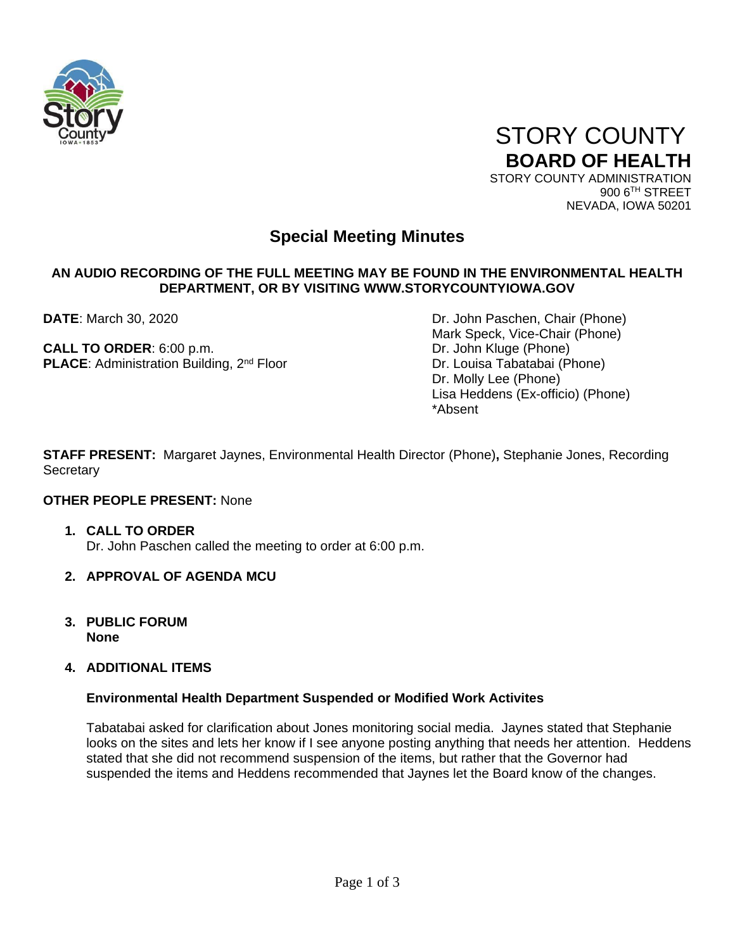

 STORY COUNTY **BOARD OF HEALTH** STORY COUNTY ADMINISTRATION

900 6TH STREET NEVADA, IOWA 50201

# **Special Meeting Minutes**

## **AN AUDIO RECORDING OF THE FULL MEETING MAY BE FOUND IN THE ENVIRONMENTAL HEALTH DEPARTMENT, OR BY VISITING WWW.STORYCOUNTYIOWA.GOV**

**CALL TO ORDER:** 6:00 p.m. **DRIGHTS CALL TO ORDER:** 6:00 p.m. **PLACE:** Administration Building, 2<sup>nd</sup> Floor Dr. Louisa Tabatabai (Phone)

**DATE**: March 30, 2020 **DATE**: March 30, 2020 Mark Speck, Vice-Chair (Phone) Dr. Molly Lee (Phone) Lisa Heddens (Ex-officio) (Phone) \*Absent

**STAFF PRESENT:** Margaret Jaynes, Environmental Health Director (Phone)**,** Stephanie Jones, Recording **Secretary** 

## **OTHER PEOPLE PRESENT:** None

- **1. CALL TO ORDER**  Dr. John Paschen called the meeting to order at 6:00 p.m.
- **2. APPROVAL OF AGENDA MCU**
- **3. PUBLIC FORUM None**
- **4. ADDITIONAL ITEMS**

## **Environmental Health Department Suspended or Modified Work Activites**

Tabatabai asked for clarification about Jones monitoring social media. Jaynes stated that Stephanie looks on the sites and lets her know if I see anyone posting anything that needs her attention. Heddens stated that she did not recommend suspension of the items, but rather that the Governor had suspended the items and Heddens recommended that Jaynes let the Board know of the changes.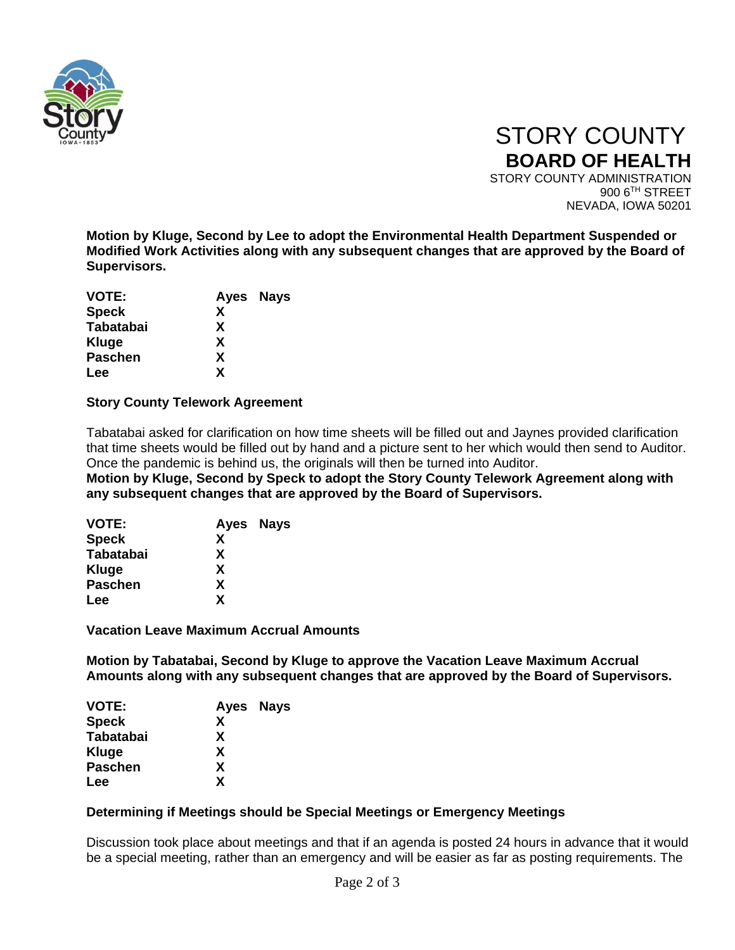

 STORY COUNTY **BOARD OF HEALTH** STORY COUNTY ADMINISTRATION 900 6TH STREET NEVADA, IOWA 50201

**Motion by Kluge, Second by Lee to adopt the Environmental Health Department Suspended or Modified Work Activities along with any subsequent changes that are approved by the Board of Supervisors.** 

|   | Ayes Nays |
|---|-----------|
| X |           |
| X |           |
| X |           |
| X |           |
| X |           |
|   |           |

## **Story County Telework Agreement**

Tabatabai asked for clarification on how time sheets will be filled out and Jaynes provided clarification that time sheets would be filled out by hand and a picture sent to her which would then send to Auditor. Once the pandemic is behind us, the originals will then be turned into Auditor.

**Motion by Kluge, Second by Speck to adopt the Story County Telework Agreement along with any subsequent changes that are approved by the Board of Supervisors.**

| Ayes Nays |  |
|-----------|--|
| x         |  |
| X         |  |
| X         |  |
| X         |  |
| X         |  |
|           |  |

**Vacation Leave Maximum Accrual Amounts**

**Motion by Tabatabai, Second by Kluge to approve the Vacation Leave Maximum Accrual Amounts along with any subsequent changes that are approved by the Board of Supervisors.**

| <b>VOTE:</b>     | Ayes Nays |  |
|------------------|-----------|--|
| <b>Speck</b>     | X         |  |
| <b>Tabatabai</b> | X         |  |
| Kluge            | X         |  |
| <b>Paschen</b>   | X         |  |
| Lee              | X         |  |

## **Determining if Meetings should be Special Meetings or Emergency Meetings**

Discussion took place about meetings and that if an agenda is posted 24 hours in advance that it would be a special meeting, rather than an emergency and will be easier as far as posting requirements. The